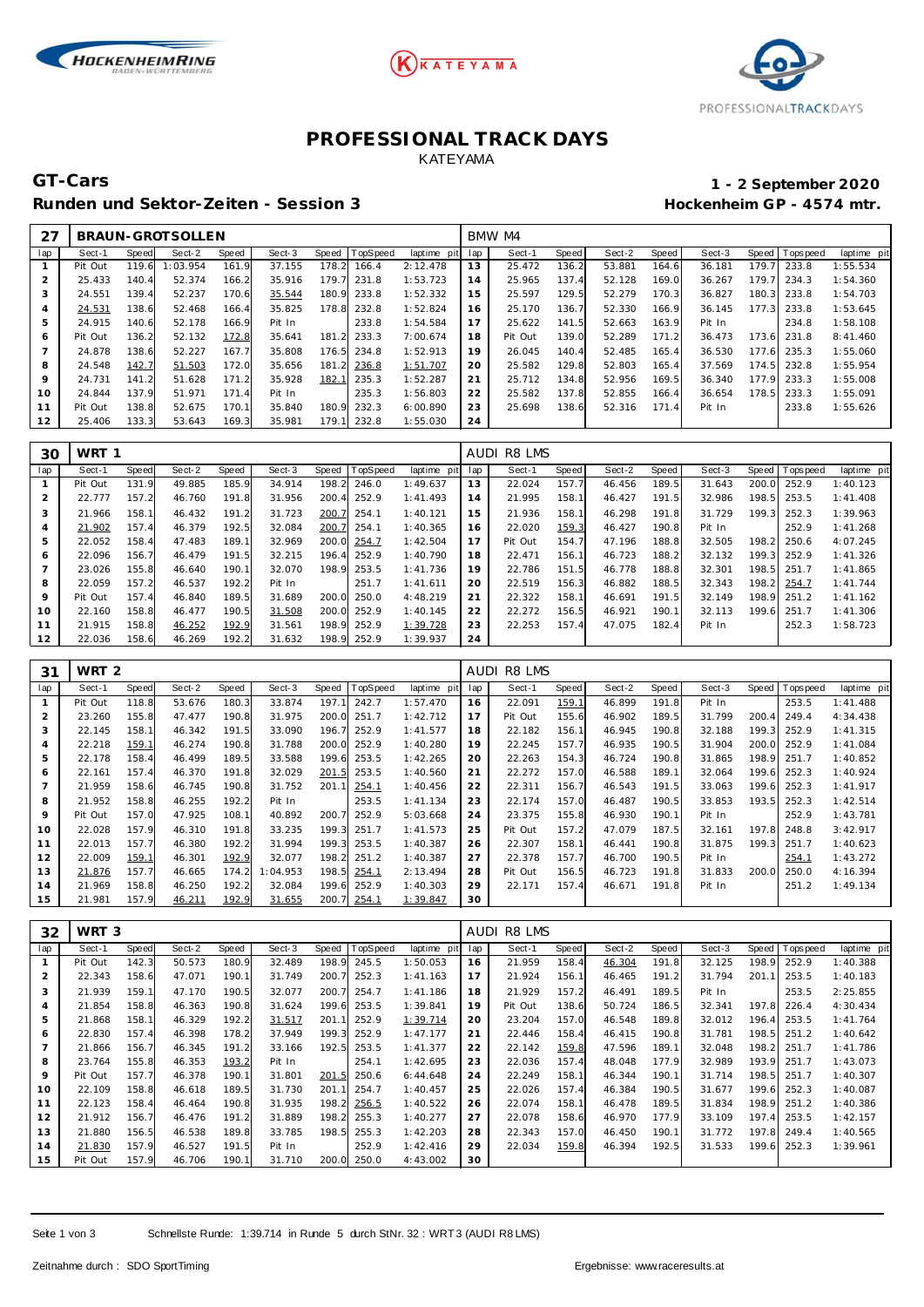





### **PROFESSIONAL TRACK DAYS** KATEYAMA

Runden und Sektor-Zeiten - Session 3 **Bester auch einer Einer Freiere** Hockenheim GP - 4574 mtr.

# **GT-Cars 1 - 2 September 2020**

| 27              |         |       | BRAUN-GROTSOLLEN |       |        |       |          |             |     | BMW M4  |       |        |       |        |       |                  |             |
|-----------------|---------|-------|------------------|-------|--------|-------|----------|-------------|-----|---------|-------|--------|-------|--------|-------|------------------|-------------|
| lap             | Sect-1  | Speed | Sect-2           | Speed | Sect-3 | Speed | TopSpeed | laptime pit | lap | Sect-1  | Speed | Sect-2 | Speed | Sect-3 |       | Speed   Topspeed | laptime pit |
|                 | Pit Out | 119.6 | 1:03.954         | 161.9 | 37.155 | 178.2 | 166.4    | 2:12.478    | 13  | 25.472  | 136.2 | 53.881 | 164.6 | 36.181 | 179.7 | 233.8            | 1:55.534    |
|                 | 25.433  | 140.4 | 52.374           | 166.2 | 35.916 | 179.7 | 231.8    | 1:53.723    | 14  | 25.965  | 137.4 | 52.128 | 169.0 | 36.267 | 179.7 | 234.3            | 1:54.360    |
| 3               | 24.551  | 139.4 | 52.237           | 170.6 | 35.544 | 180.9 | 233.8    | 1:52.332    | 15  | 25.597  | 129.5 | 52.279 | 170.3 | 36.827 | 180.3 | 233.8            | 1:54.703    |
| 4               | 24.531  | 138.6 | 52.468           | 166.4 | 35.825 | 178.8 | 232.8    | 1:52.824    | 16  | 25.170  | 136.7 | 52.330 | 166.9 | 36.145 | 177.3 | 233.8            | 1:53.645    |
| 5               | 24.915  | 140.6 | 52.178           | 166.9 | Pit In |       | 233.8    | 1:54.584    | 17  | 25.622  | 141.5 | 52.663 | 163.9 | Pit In |       | 234.8            | 1:58.108    |
| 6               | Pit Out | 136.2 | 52.132           | 172.8 | 35.641 | 181.2 | 233.3    | 7:00.674    | 18  | Pit Out | 139.0 | 52.289 | 171.2 | 36.473 | 173.6 | 231.8            | 8:41.460    |
|                 | 24.878  | 138.6 | 52.227           | 167.7 | 35.808 | 176.5 | 234.8    | 1:52.913    | 19  | 26.045  | 140.4 | 52.485 | 165.4 | 36.530 | 177.6 | 235.3            | 1:55.060    |
| 8               | 24.548  | 142.7 | 51.503           | 172.0 | 35.656 | 181.2 | 236.8    | 1:51.707    | 20  | 25.582  | 129.8 | 52.803 | 165.4 | 37.569 | 174.5 | 232.8            | 1:55.954    |
| 9               | 24.731  | 141.2 | 51.628           | 171.2 | 35.928 | 182.1 | 235.3    | 1:52.287    | 21  | 25.712  | 134.8 | 52.956 | 169.5 | 36.340 | 177.9 | 233.3            | 1:55.008    |
| 10 <sup>°</sup> | 24.844  | 137.9 | 51.971           | 171.4 | Pit In |       | 235.3    | 1:56.803    | 22  | 25.582  | 137.8 | 52.855 | 166.4 | 36.654 | 178.5 | 233.3            | 1:55.091    |
| 11              | Pit Out | 138.8 | 52.675           | 170.1 | 35.840 | 180.9 | 232.3    | 6:00.890    | 23  | 25.698  | 138.6 | 52.316 | 171.4 | Pit In |       | 233.8            | 1:55.626    |
| 12              | 25.406  | 133.3 | 53.643           | 169.3 | 35.981 | 179.1 | 232.8    | 1:55.030    | 24  |         |       |        |       |        |       |                  |             |

| 30  | WRT 1   |              |        |       |        |       |          |             |     | AUDI R8 LMS |       |        |       |        |       |                 |             |
|-----|---------|--------------|--------|-------|--------|-------|----------|-------------|-----|-------------|-------|--------|-------|--------|-------|-----------------|-------------|
| lap | Sect-1  | <b>Speed</b> | Sect-2 | Speed | Sect-3 | Speed | TopSpeed | laptime pit | lap | Sect-1      | Speed | Sect-2 | Speed | Sect-3 |       | Speed Tops peed | laptime pit |
|     | Pit Out | 131.9        | 49.885 | 185.9 | 34.914 | 198.2 | 246.0    | 1:49.637    | 13  | 22.024      | 157.7 | 46.456 | 189.5 | 31.643 | 200.0 | 252.9           | 1:40.123    |
| 2   | 22.777  | 157.2        | 46.760 | 191.8 | 31.956 | 200.4 | 252.9    | 1:41.493    | 14  | 21.995      | 158.1 | 46.427 | 191.5 | 32.986 | 198.5 | 253.5           | 1:41.408    |
| 3   | 21.966  | 158.1        | 46.432 | 191.2 | 31.723 | 200.7 | 254.1    | 1:40.121    | 15  | 21.936      | 158.1 | 46.298 | 191.8 | 31.729 | 199.3 | 252.3           | 1:39.963    |
| 4   | 21.902  | 157.4        | 46.379 | 192.5 | 32.084 | 200.7 | 254.1    | 1:40.365    | 16  | 22.020      | 159.3 | 46.427 | 190.8 | Pit In |       | 252.9           | 1:41.268    |
| 5   | 22.052  | 158.4        | 47.483 | 189.1 | 32.969 | 200.0 | 254.7    | 1:42.504    | 17  | Pit Out     | 154.7 | 47.196 | 188.8 | 32.505 | 198.2 | 250.6           | 4:07.245    |
| 6   | 22.096  | 156.7        | 46.479 | 191.5 | 32.215 | 196.4 | 252.9    | 1:40.790    | 18  | 22.471      | 156.1 | 46.723 | 188.2 | 32.132 | 199.3 | 252.9           | 1:41.326    |
|     | 23.026  | 155.8        | 46.640 | 190.1 | 32.070 | 198.9 | 253.5    | 1:41.736    | 19  | 22.786      | 151.5 | 46.778 | 188.8 | 32.301 | 198.5 | 251.7           | 1:41.865    |
| 8   | 22.059  | 157.2        | 46.537 | 192.2 | Pit In |       | 251.7    | 1:41.611    | 20  | 22.519      | 156.3 | 46.882 | 188.5 | 32.343 | 198.2 | 254.7           | 1: 41.744   |
| 9   | Pit Out | 157.4        | 46.840 | 189.5 | 31.689 | 200.0 | 250.0    | 4:48.219    | 21  | 22.322      | 158.1 | 46.691 | 191.5 | 32.149 | 198.9 | 251.2           | 1:41.162    |
| 10  | 22.160  | 158.8        | 46.477 | 190.5 | 31.508 | 200.0 | 252.9    | 1:40.145    | 22  | 22.272      | 156.5 | 46.921 | 190.1 | 32.113 | 199.6 | 251.7           | 1:41.306    |
| 11  | 21.915  | 158.8        | 46.252 | 192.9 | 31.561 | 198.9 | 252.9    | 1:39.728    | 23  | 22.253      | 157.4 | 47.075 | 182.4 | Pit In |       | 252.3           | 1:58.723    |
| 12  | 22.036  | 158.6        | 46.269 | 192.2 | 31.632 | 198.9 | 252.9    | 1:39.937    | 24  |             |       |        |       |        |       |                 |             |

| 31  | WRT <sub>2</sub> |              |        |       |         |       |         |             |     | <b>AUDI R8 LMS</b> |       |        |       |        |       |           |             |
|-----|------------------|--------------|--------|-------|---------|-------|---------|-------------|-----|--------------------|-------|--------|-------|--------|-------|-----------|-------------|
| lap | Sect-1           | <b>Speed</b> | Sect-2 | Speed | Sect-3  | Speed | opSpeed | laptime pit | lap | Sect-1             | Speed | Sect-2 | Speed | Sect-3 | Speed | Tops peed | laptime pit |
|     | Pit Out          | 118.8        | 53.676 | 180.3 | 33.874  | 197.1 | 242.7   | 1:57.470    | 16  | 22.091             | 159.1 | 46.899 | 191.8 | Pit In |       | 253.5     | 1:41.488    |
| 2   | 23.260           | 155.8        | 47.477 | 190.8 | 31.975  | 200.0 | 251.7   | 1:42.712    | 17  | Pit Out            | 155.6 | 46.902 | 189.5 | 31.799 | 200.4 | 249.4     | 4:34.438    |
|     | 22.145           | 158.1        | 46.342 | 191.5 | 33.090  | 196.7 | 252.9   | 1:41.577    | 18  | 22.182             | 156.1 | 46.945 | 190.8 | 32.188 | 199.3 | 252.9     | 1: 41.315   |
| 4   | 22.218           | 159.1        | 46.274 | 190.8 | 31.788  | 200.0 | 252.9   | 1:40.280    | 19  | 22.245             | 157.7 | 46.935 | 190.5 | 31.904 | 200.0 | 252.9     | 1:41.084    |
| 5   | 22.178           | 158.4        | 46.499 | 189.5 | 33.588  | 199.6 | 253.5   | 1:42.265    | 20  | 22.263             | 154.3 | 46.724 | 190.8 | 31.865 | 198.9 | 251.7     | 1:40.852    |
| 6   | 22.161           | 157.4        | 46.370 | 191.8 | 32.029  | 201.5 | 253.5   | 1:40.560    | 21  | 22.272             | 157.0 | 46.588 | 189.1 | 32.064 | 199.6 | 252.3     | 1:40.924    |
|     | 21.959           | 158.6        | 46.745 | 190.8 | 31.752  | 201   | 254.1   | 1:40.456    | 22  | 22.311             | 156.7 | 46.543 | 191.5 | 33.063 | 199.6 | 252.3     | 1:41.917    |
| 8   | 21.952           | 158.8        | 46.255 | 192.2 | Pit In  |       | 253.5   | 1: 41.134   | 23  | 22.174             | 157.0 | 46.487 | 190.5 | 33.853 | 193.5 | 252.3     | 1:42.514    |
| 9   | Pit Out          | 157.0        | 47.925 | 108.1 | 40.892  | 200.7 | 252.9   | 5:03.668    | 24  | 23.375             | 155.8 | 46.930 | 190.1 | Pit In |       | 252.9     | 1:43.781    |
| 10  | 22.028           | 157.9        | 46.310 | 191.8 | 33.235  | 199.3 | 251.7   | 1:41.573    | 25  | Pit Out            | 157.2 | 47.079 | 187.5 | 32.161 | 197.8 | 248.8     | 3:42.917    |
|     | 22.013           | 157.7        | 46.380 | 192.2 | 31.994  | 199.3 | 253.5   | 1:40.387    | 26  | 22.307             | 158.1 | 46.441 | 190.8 | 31.875 | 199.3 | 251.7     | 1:40.623    |
| 12  | 22.009           | 159.1        | 46.301 | 192.9 | 32.077  | 198.2 | 251.2   | 1:40.387    | 27  | 22.378             | 157.7 | 46.700 | 190.5 | Pit In |       | 254.1     | 1:43.272    |
| 13  | 21.876           | 157.7        | 46.665 | 174.2 | :04.953 | 198.5 | 254.1   | 2:13.494    | 28  | Pit Out            | 156.5 | 46.723 | 191.8 | 31.833 | 200.0 | 250.0     | 4:16.394    |
| 14  | 21.969           | 158.8        | 46.250 | 192.2 | 32.084  | 199.6 | 252.9   | 1:40.303    | 29  | 22.171             | 157.4 | 46.671 | 191.8 | Pit In |       | 251.2     | 1:49.134    |
| 15  | 21.981           | 157.9        | 46.211 | 192.9 | 31.655  | 200.7 | 254.1   | 1:39.847    | 30  |                    |       |        |       |        |       |           |             |

| 32  | WRT <sub>3</sub> |              |        |       |        |            |         |             |     | <b>AUDI R8 LMS</b> |       |        |       |        |              |            |             |
|-----|------------------|--------------|--------|-------|--------|------------|---------|-------------|-----|--------------------|-------|--------|-------|--------|--------------|------------|-------------|
| lap | Sect-1           | <b>Speed</b> | Sect-2 | Speed | Sect-3 | Speed      | opSpeed | laptime pit | lap | Sect-1             | Speed | Sect-2 | Speed | Sect-3 | <b>Speed</b> | Tops pee d | laptime pit |
|     | Pit Out          | 142.3        | 50.573 | 180.9 | 32.489 | 198.9      | 245.5   | 1:50.053    | 16  | 21.959             | 158.4 | 46.304 | 191.8 | 32.125 | 198.9        | 252.9      | 1:40.388    |
| 2   | 22.343           | 158.6        | 47.071 | 190.1 | 31.749 | 200.7      | 252.3   | 1:41.163    | 17  | 21.924             | 156.1 | 46.465 | 191.2 | 31.794 | 201.         | 253.5      | 1:40.183    |
| 3   | 21.939           | 159.1        | 47.170 | 190.5 | 32.077 | 200.7      | 254.7   | 1:41.186    | 18  | 21.929             | 157.2 | 46.491 | 189.5 | Pit In |              | 253.5      | 2:25.855    |
|     | 21.854           | 158.8        | 46.363 | 190.8 | 31.624 | 199.6      | 253.5   | 1:39.841    | 19  | Pit Out            | 138.6 | 50.724 | 186.5 | 32.341 | 197.8        | 226.4      | 4:30.434    |
| 5   | 21.868           | 158.1        | 46.329 | 192.2 | 31.517 | 201<br>. 1 | 252.9   | 1:39.714    | 20  | 23.204             | 157.0 | 46.548 | 189.8 | 32.012 | 196.4        | 253.5      | 1: 41.764   |
| 6   | 22.830           | 157.4        | 46.398 | 178.2 | 37.949 | 199.3      | 252.9   | 1:47.177    | 21  | 22.446             | 158.4 | 46.415 | 190.8 | 31.781 | 198.5        | 251.2      | 1:40.642    |
|     | 21.866           | 156.7        | 46.345 | 191.2 | 33.166 | 192.5      | 253.5   | 1:41.377    | 22  | 22.142             | 159.8 | 47.596 | 189.1 | 32.048 | 198.2        | 251.7      | 1:41.786    |
| 8   | 23.764           | 155.8        | 46.353 | 193.2 | Pit In |            | 254.1   | 1:42.695    | 23  | 22.036             | 157.4 | 48.048 | 177.9 | 32.989 | 193.9        | 251.7      | 1:43.073    |
| 9   | Pit Out          | 157.7        | 46.378 | 190.1 | 31.801 | 201.5      | 250.6   | 6:44.648    | 24  | 22.249             | 158.1 | 46.344 | 190.1 | 31.714 | 198.5        | 251.7      | 1:40.307    |
| 10  | 22.109           | 158.8        | 46.618 | 189.5 | 31.730 | 201        | 254.7   | 1:40.457    | 25  | 22.026             | 157.4 | 46.384 | 190.5 | 31.677 | 199.6        | 252.3      | 1:40.087    |
|     | 22.123           | 158.4        | 46.464 | 190.8 | 31.935 | 198.2      | 256.5   | 1:40.522    | 26  | 22.074             | 158.1 | 46.478 | 189.5 | 31.834 | 198.9        | 251.2      | 1:40.386    |
| 12  | 21.912           | 156.7        | 46.476 | 191.2 | 31.889 | 198.2      | 255.3   | 1:40.277    | 27  | 22.078             | 158.6 | 46.970 | 177.9 | 33.109 | 197.4        | 253.5      | 1:42.157    |
| 13  | 21.880           | 156.5        | 46.538 | 189.8 | 33.785 | 198.5      | 255.3   | 1:42.203    | 28  | 22.343             | 157.0 | 46.450 | 190.1 | 31.772 | 197.8        | 249.4      | 1:40.565    |
| 14  | 21.830           | 157.9        | 46.527 | 191.5 | Pit In |            | 252.9   | 1:42.416    | 29  | 22.034             | 159.8 | 46.394 | 192.5 | 31.533 | 199.6        | 252.3      | 1:39.961    |
| 15  | Pit Out          | 157.9        | 46.706 | 190.1 | 31.710 | 200.0      | 250.0   | 4:43.002    | 30  |                    |       |        |       |        |              |            |             |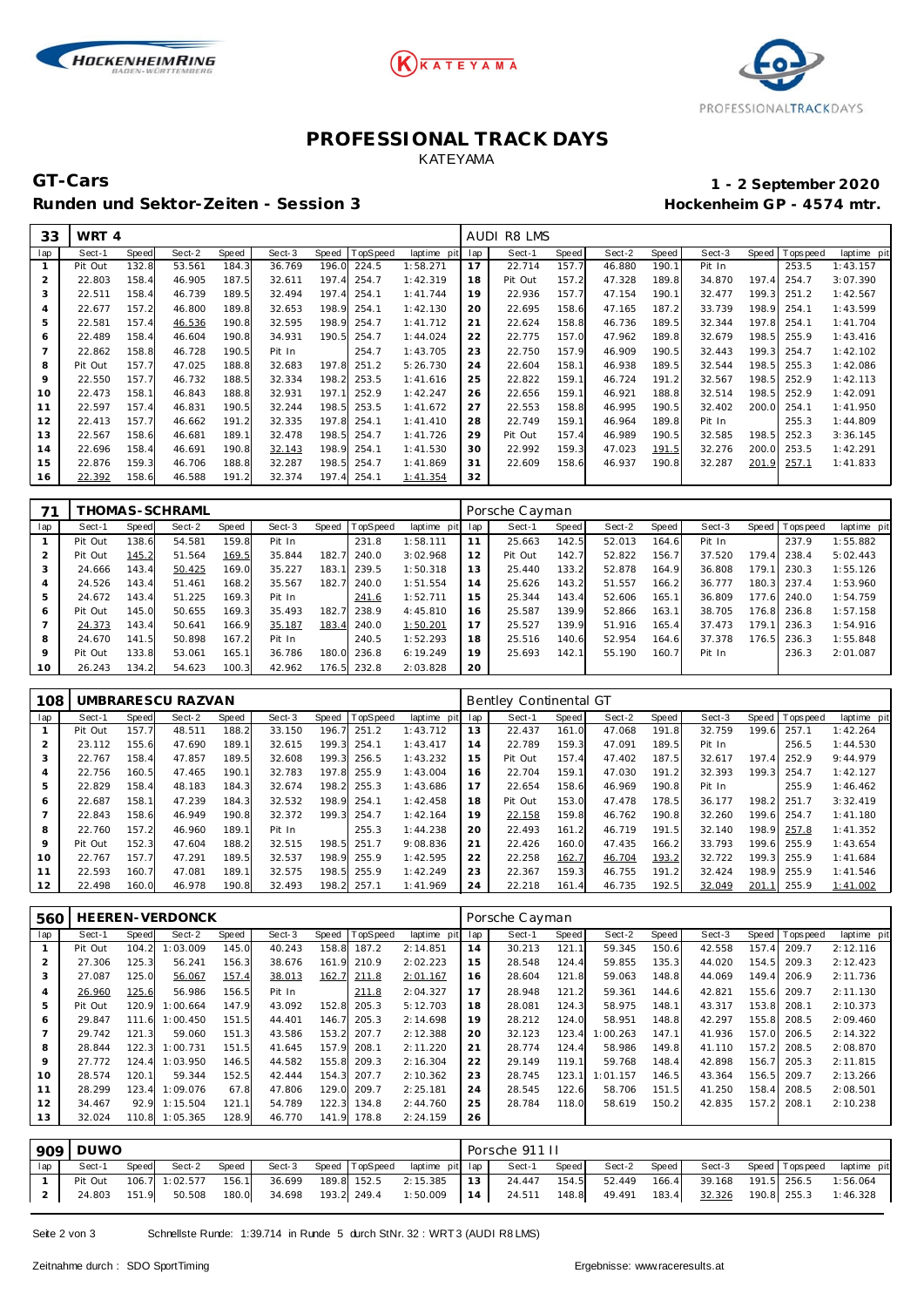





## **PROFESSIONAL TRACK DAYS** KATEYAMA

**GT-Cars 1 - 2 September 2020** Runden und Sektor-Zeiten - Session 3 **Bester auch einer Einer Freiere** Hockenheim GP - 4574 mtr.

| 33  | WRT 4   |       |        |       |        |       |          |             |     | <b>AUDI R8 LMS</b> |       |        |       |        |       |             |             |
|-----|---------|-------|--------|-------|--------|-------|----------|-------------|-----|--------------------|-------|--------|-------|--------|-------|-------------|-------------|
| lap | Sect-1  | Speed | Sect-2 | Speed | Sect-3 | Speed | TopSpeed | laptime pit | lap | Sect-1             | Speed | Sect-2 | Speed | Sect-3 | Speed | T ops pee d | laptime pit |
|     | Pit Out | 132.8 | 53.561 | 184.3 | 36.769 | 196.0 | 224.5    | 1:58.271    | 17  | 22.714             | 157.7 | 46.880 | 190.1 | Pit In |       | 253.5       | 1:43.157    |
| 2   | 22.803  | 158.4 | 46.905 | 187.5 | 32.611 | 197.4 | 254.7    | 1:42.319    | 18  | Pit Out            | 157.2 | 47.328 | 189.8 | 34.870 | 197.4 | 254.7       | 3:07.390    |
| 3   | 22.511  | 158.4 | 46.739 | 189.5 | 32.494 | 197.4 | 254.1    | 1:41.744    | 19  | 22.936             | 157.7 | 47.154 | 190.1 | 32.477 | 199.3 | 251.2       | 1:42.567    |
| 4   | 22.677  | 157.2 | 46.800 | 189.8 | 32.653 | 198.9 | 254.1    | 1:42.130    | 20  | 22.695             | 158.6 | 47.165 | 187.2 | 33.739 | 198.9 | 254.1       | 1:43.599    |
| 5   | 22.581  | 157.4 | 46.536 | 190.8 | 32.595 | 198.9 | 254.7    | 1:41.712    | 21  | 22.624             | 158.8 | 46.736 | 189.5 | 32.344 | 197.8 | 254.1       | 1: 41.704   |
| 6   | 22.489  | 158.4 | 46.604 | 190.8 | 34.931 | 190.5 | 254.7    | 1:44.024    | 22  | 22.775             | 157.0 | 47.962 | 189.8 | 32.679 | 198.5 | 255.9       | 1:43.416    |
|     | 22.862  | 158.8 | 46.728 | 190.5 | Pit In |       | 254.7    | 1:43.705    | 23  | 22.750             | 157.9 | 46.909 | 190.5 | 32.443 | 199.3 | 254.7       | 1:42.102    |
| 8   | Pit Out | 157.7 | 47.025 | 188.8 | 32.683 | 197.8 | 251.2    | 5:26.730    | 24  | 22.604             | 158.1 | 46.938 | 189.5 | 32.544 | 198.5 | 255.3       | 1:42.086    |
| 9   | 22.550  | 157.7 | 46.732 | 188.5 | 32.334 | 198.2 | 253.5    | 1:41.616    | 25  | 22.822             | 159.1 | 46.724 | 191.2 | 32.567 | 198.5 | 252.9       | 1:42.113    |
| 10  | 22.473  | 158.1 | 46.843 | 188.8 | 32.931 | 197.1 | 252.9    | 1:42.247    | 26  | 22.656             | 159.1 | 46.921 | 188.8 | 32.514 | 198.5 | 252.9       | 1:42.091    |
| 11  | 22.597  | 157.4 | 46.831 | 190.5 | 32.244 | 198.5 | 253.5    | 1:41.672    | 27  | 22.553             | 158.8 | 46.995 | 190.5 | 32.402 | 200.0 | 254.1       | 1:41.950    |
| 12  | 22.413  | 157.7 | 46.662 | 191.2 | 32.335 | 197.8 | 254.1    | 1:41.410    | 28  | 22.749             | 159.1 | 46.964 | 189.8 | Pit In |       | 255.3       | 1:44.809    |
| 13  | 22.567  | 158.6 | 46.681 | 189.1 | 32.478 | 198.5 | 254.7    | 1:41.726    | 29  | Pit Out            | 157.4 | 46.989 | 190.5 | 32.585 | 198.5 | 252.3       | 3:36.145    |
| 14  | 22.696  | 158.4 | 46.691 | 190.8 | 32.143 | 198.9 | 254.1    | 1:41.530    | 30  | 22.992             | 159.3 | 47.023 | 191.5 | 32.276 | 200.0 | 253.5       | 1:42.291    |
| 15  | 22.876  | 159.3 | 46.706 | 188.8 | 32.287 | 198.5 | 254.7    | 1:41.869    | 31  | 22.609             | 158.6 | 46.937 | 190.8 | 32.287 | 201.9 | 257.1       | 1:41.833    |
| 16  | 22.392  | 158.6 | 46.588 | 191.2 | 32.374 | 197.4 | 254.1    | 1:41.354    | 32  |                    |       |        |       |        |       |             |             |

|                |         |       | HOMAS-SCHRAML <sup>-</sup> |       |        |       |          |             |     | Porsche Cayman |       |        |       |        |       |          |             |
|----------------|---------|-------|----------------------------|-------|--------|-------|----------|-------------|-----|----------------|-------|--------|-------|--------|-------|----------|-------------|
| lap            | Sect-1  | Speed | Sect-2                     | Speed | Sect-3 | Speed | TopSpeed | laptime pit | lap | Sect-1         | Speed | Sect-2 | Speed | Sect-3 | Speed | Topspeed | laptime pit |
|                | Pit Out | 138.6 | 54.581                     | 159.8 | Pit In |       | 231.8    | 1:58.111    | 11  | 25.663         | 142.5 | 52.013 | 164.6 | Pit In |       | 237.9    | 1:55.882    |
|                | Pit Out | 145.2 | 51.564                     | 169.5 | 35.844 | 182.7 | 240.0    | 3:02.968    | 12  | Pit Out        | 142.7 | 52.822 | 156.7 | 37.520 | 179.4 | 238.4    | 5:02.443    |
| 3              | 24.666  | 143.4 | 50.425                     | 169.0 | 35.227 | 183.1 | 239.5    | 1:50.318    | 13  | 25.440         | 133.2 | 52.878 | 164.9 | 36.808 | 179.1 | 230.3    | 1:55.126    |
| $\overline{4}$ | 24.526  | 143.4 | 51.461                     | 168.2 | 35.567 | 182.7 | 240.0    | 1:51.554    | 14  | 25.626         | 143.2 | 51.557 | 166.2 | 36.777 | 180.3 | 237.4    | 1:53.960    |
| 5              | 24.672  | 143.4 | 51.225                     | 169.3 | Pit In |       | 241.6    | 1:52.711    | 15  | 25.344         | 143.4 | 52.606 | 165.1 | 36.809 | 177.6 | 240.0    | 1:54.759    |
| 6              | Pit Out | 145.0 | 50.655                     | 169.3 | 35.493 | 182.7 | 238.9    | 4:45.810    | 16  | 25.587         | 139.9 | 52.866 | 163.1 | 38.705 | 176.8 | 236.8    | 1:57.158    |
|                | 24.373  | 143.4 | 50.641                     | 166.9 | 35.187 | 183.4 | 240.0    | 1:50.201    | 17  | 25.527         | 139.9 | 51.916 | 165.4 | 37.473 | 179.1 | 236.3    | 1:54.916    |
| 8              | 24.670  | 141.5 | 50.898                     | 167.2 | Pit In |       | 240.5    | 1:52.293    | 18  | 25.516         | 140.6 | 52.954 | 164.6 | 37.378 | 176.5 | 236.3    | 1:55.848    |
| 9              | Pit Out | 133.8 | 53.061                     | 165.1 | 36.786 | 180.0 | 236.8    | 6:19.249    | 19  | 25.693         | 142.1 | 55.190 | 160.7 | Pit In |       | 236.3    | 2:01.087    |
| 10             | 26.243  | 134.2 | 54.623                     | 100.3 | 42.962 | 176.5 | 232.8    | 2:03.828    | 20  |                |       |        |       |        |       |          |             |

| 108 |         |       | UMBRARESCU RAZVAN |       |        |       |          |             |     | Bentley Continental GT |       |        |       |        |       |                 |             |
|-----|---------|-------|-------------------|-------|--------|-------|----------|-------------|-----|------------------------|-------|--------|-------|--------|-------|-----------------|-------------|
| lap | Sect-1  | Speed | Sect-2            | Speed | Sect-3 | Speed | TopSpeed | laptime pit | lap | Sect-1                 | Speed | Sect-2 | Speed | Sect-3 |       | Speed Tops peed | laptime pit |
|     | Pit Out | 157.7 | 48.511            | 188.2 | 33.150 | 196.7 | 251.2    | 1:43.712    | 13  | 22.437                 | 161.0 | 47.068 | 191.8 | 32.759 | 199.6 | 257.1           | 1:42.264    |
|     | 23.112  | 155.6 | 47.690            | 189.1 | 32.615 | 199.3 | 254.1    | 1:43.417    | 14  | 22.789                 | 159.3 | 47.091 | 189.5 | Pit In |       | 256.5           | 1:44.530    |
| 3   | 22.767  | 158.4 | 47.857            | 189.5 | 32.608 | 199.3 | 256.5    | 1:43.232    | 15  | Pit Out                | 157.4 | 47.402 | 187.5 | 32.617 | 197.4 | 252.9           | 9:44.979    |
| 4   | 22.756  | 160.5 | 47.465            | 190.1 | 32.783 | 197.8 | 255.9    | 1:43.004    | 16  | 22.704                 | 159.1 | 47.030 | 191.2 | 32.393 | 199.3 | 254.7           | 1:42.127    |
| 5   | 22.829  | 158.4 | 48.183            | 184.3 | 32.674 | 198.2 | 255.3    | 1:43.686    | 17  | 22.654                 | 158.6 | 46.969 | 190.8 | Pit In |       | 255.9           | 1:46.462    |
| 6   | 22.687  | 158.1 | 47.239            | 184.3 | 32.532 | 198.9 | 254.1    | 1:42.458    | 18  | Pit Out                | 153.0 | 47.478 | 178.5 | 36.177 | 198.2 | 251.7           | 3:32.419    |
|     | 22.843  | 158.6 | 46.949            | 190.8 | 32.372 | 199.3 | 254.7    | 1:42.164    | 19  | 22.158                 | 159.8 | 46.762 | 190.8 | 32.260 | 199.6 | 254.7           | 1:41.180    |
| 8   | 22.760  | 157.2 | 46.960            | 189.1 | Pit In |       | 255.3    | 1:44.238    | 20  | 22.493                 | 161.2 | 46.719 | 191.5 | 32.140 | 198.9 | 257.8           | 1:41.352    |
| 9   | Pit Out | 152.3 | 47.604            | 188.2 | 32.515 | 198.5 | 251.7    | 9:08.836    | 21  | 22.426                 | 160.0 | 47.435 | 166.2 | 33.793 | 199.6 | 255.9           | 1:43.654    |
| 10  | 22.767  | 157.7 | 47.291            | 189.5 | 32.537 | 198.9 | 255.9    | 1:42.595    | 22  | 22.258                 | 162.7 | 46.704 | 193.2 | 32.722 | 199.3 | 255.9           | 1:41.684    |
| 11  | 22.593  | 160.7 | 47.081            | 189.1 | 32.575 | 198.5 | 255.9    | 1:42.249    | 23  | 22.367                 | 159.3 | 46.755 | 191.2 | 32.424 | 198.9 | 255.9           | 1:41.546    |
| 12  | 22.498  | 160.0 | 46.978            | 190.8 | 32.493 | 198.2 | 257.1    | 1:41.969    | 24  | 22.218                 | 161.4 | 46.735 | 192.5 | 32.049 | 201.1 | 255.9           | 1:41.002    |

| 560            |         |       | <b>HEEREN-VERDONCK</b> |       |        |       |             |                 |    | Porsche Cayman |       |          |       |        |       |                |             |
|----------------|---------|-------|------------------------|-------|--------|-------|-------------|-----------------|----|----------------|-------|----------|-------|--------|-------|----------------|-------------|
| lap            | Sect-1  | Speed | Sect-2                 | Speed | Sect-3 | Speed | TopSpeed    | laptime pit lap |    | Sect-1         | Speed | Sect-2   | Speed | Sect-3 |       | Speed Topspeed | laptime pit |
|                | Pit Out | 104.2 | 1:03.009               | 145.0 | 40.243 | 158.8 | 187.2       | 2:14.851        | 14 | 30.213         | 121.1 | 59.345   | 150.6 | 42.558 | 157.4 | 209.7          | 2:12.116    |
|                | 27.306  | 125.3 | 56.241                 | 156.3 | 38.676 | 161.9 | 210.9       | 2:02.223        | 15 | 28.548         | 124.4 | 59.855   | 135.3 | 44.020 | 154.5 | 209.3          | 2:12.423    |
| 3              | 27.087  | 125.0 | 56.067                 | 157.4 | 38.013 | 162.7 | 211.8       | 2:01.167        | 16 | 28.604         | 121.8 | 59.063   | 148.8 | 44.069 | 149.4 | 206.9          | 2:11.736    |
| $\overline{4}$ | 26.960  | 125.6 | 56.986                 | 156.5 | Pit In |       | 211.8       | 2:04.327        | 17 | 28.948         | 121.2 | 59.361   | 144.6 | 42.821 | 155.6 | 209.7          | 2:11.130    |
| 5              | Pit Out | 120.9 | 1:00.664               | 147.9 | 43.092 | 152.8 | 205.3       | 5:12.703        | 18 | 28.081         | 124.3 | 58.975   | 148.1 | 43.317 | 153.8 | 208.1          | 2:10.373    |
| 6              | 29.847  | 111.6 | 1:00.450               | 151.5 | 44.401 | 146.7 | 205.3       | 2:14.698        | 19 | 28.212         | 124.0 | 58.951   | 148.8 | 42.297 | 155.8 | 208.5          | 2:09.460    |
|                | 29.742  | 121.3 | 59.060                 | 151.3 | 43.586 |       | 153.2 207.7 | 2:12.388        | 20 | 32.123         | 123.4 | 1:00.263 | 147.1 | 41.936 | 157.0 | 206.5          | 2:14.322    |
| 8              | 28.844  |       | 122.3 1:00.731         | 151.5 | 41.645 |       | 157.9 208.1 | 2:11.220        | 21 | 28.774         | 124.4 | 58.986   | 149.8 | 41.110 | 157.2 | 208.5          | 2:08.870    |
| 9              | 27.772  | 124.4 | 1:03.950               | 146.5 | 44.582 | 155.8 | 209.3       | 2:16.304        | 22 | 29.149         | 119.1 | 59.768   | 148.4 | 42.898 | 156.7 | 205.3          | 2:11.815    |
| 10             | 28.574  | 120.1 | 59.344                 | 152.5 | 42.444 |       | 154.3 207.7 | 2:10.362        | 23 | 28.745         | 123.1 | 1:01.157 | 146.5 | 43.364 | 156.5 | 209.7          | 2:13.266    |
| 11             | 28.299  |       | 123.4 1:09.076         | 67.8  | 47.806 |       | 129.0 209.7 | 2:25.181        | 24 | 28.545         | 122.6 | 58.706   | 151.5 | 41.250 | 158.4 | 208.5          | 2:08.501    |
| 12             | 34.467  |       | 92.9 1:15.504          | 121.1 | 54.789 | 122.3 | 134.8       | 2:44.760        | 25 | 28.784         | 118.0 | 58.619   | 150.2 | 42.835 | 157.2 | 208.1          | 2:10.238    |
| 13             | 32.024  | 110.8 | 1:05.365               | 128.9 | 46.770 | 141.9 | 178.8       | 2:24.159        | 26 |                |       |          |       |        |       |                |             |

|     | 909 DUWO |       |                      |       |        |  |                                                                                   | Porsche 911 II |       |              |                             |  |             |
|-----|----------|-------|----------------------|-------|--------|--|-----------------------------------------------------------------------------------|----------------|-------|--------------|-----------------------------|--|-------------|
| lap | Sect-1   | Speed | Sect-2               | Speed |        |  | Sect-3 Speed TopSpeed laptime pit lap                                             | Sect-1         | Speed | Sect-2 Speed | Sect-3 Speed Topspeed       |  | laptime pit |
|     | Pit Out  |       | 106.7 1:02.577 156.1 |       | 36.699 |  | 189.8 152.5 2:15.385   13   24.447 154.5 52.449 166.4 39.168 191.5 256.5 1:56.064 |                |       |              |                             |  |             |
|     |          |       | 24.803 151.9 50.508  |       |        |  | 180.0 34.698 193.2 249.4 1:50.009 14 24.511 148.8 49.491 183.4                    |                |       |              | 32.326 190.8 255.3 1:46.328 |  |             |